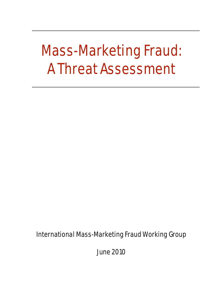# Mass-Marketing Fraud: A Threat Assessment

International Mass-Marketing Fraud Working Group

June 2010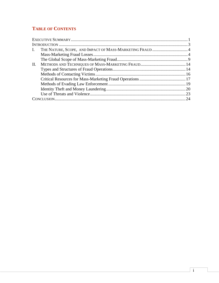# **TABLE OF CONTENTS**

| $\mathbf{I}$ . |    |
|----------------|----|
|                |    |
|                |    |
| $\Pi$ .        |    |
|                |    |
|                |    |
|                |    |
|                |    |
|                |    |
|                |    |
|                | 24 |
|                |    |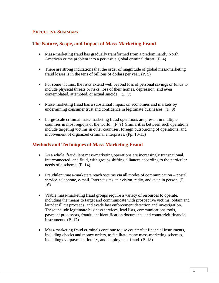# <span id="page-2-0"></span>**EXECUTIVE SUMMARY**

# **The Nature, Scope, and Impact of Mass-Marketing Fraud**

- Mass-marketing fraud has gradually transformed from a predominantly North American crime problem into a pervasive global criminal threat. (P. 4)
- There are strong indications that the order of magnitude of global mass-marketing fraud losses is in the tens of billions of dollars per year. (P. 5)
- For some victims, the risks extend well beyond loss of personal savings or funds to include physical threats or risks, loss of their homes, depression, and even contemplated, attempted, or actual suicide. (P. 7)
- Mass-marketing fraud has a substantial impact on economies and markets by undermining consumer trust and confidence in legitimate businesses. (P. 9)
- Large-scale criminal mass-marketing fraud operations are present in multiple countries in most regions of the world. (P. 9) Similarities between such operations include targeting victims in other countries, foreign outsourcing of operations, and involvement of organized criminal enterprises. (Pp. 10-13)

## **Methods and Techniques of Mass-Marketing Fraud**

- As a whole, fraudulent mass-marketing operations are increasingly transnational, interconnected, and fluid, with groups shifting alliances according to the particular needs of a scheme. (P. 14)
- Fraudulent mass-marketers reach victims via all modes of communication postal service, telephone, e-mail, Internet sites, television, radio, and even in person. (P. 16)
- Viable mass-marketing fraud groups require a variety of resources to operate, including the means to target and communicate with prospective victims, obtain and launder illicit proceeds, and evade law enforcement detection and investigation. These include legitimate business services, lead lists, communications tools, payment processors, fraudulent identification documents, and counterfeit financial instruments. (P. 17)
- Mass-marketing fraud criminals continue to use counterfeit financial instruments, including checks and money orders, to facilitate many mass-marketing schemes, including overpayment, lottery, and employment fraud. (P. 18)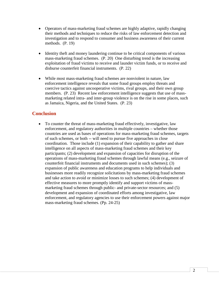- Operators of mass-marketing fraud schemes are highly adaptive, rapidly changing their methods and techniques to reduce the risks of law enforcement detection and investigation and to respond to consumer and business awareness of their current methods. (P. 19)
- Identity theft and money laundering continue to be critical components of various mass-marketing fraud schemes. (P. 20) One disturbing trend is the increasing exploitation of fraud victims to receive and launder victim funds, or to receive and disburse counterfeit financial instruments. (P. 22)
- While most mass-marketing fraud schemes are nonviolent in nature, law enforcement intelligence reveals that some fraud groups employ threats and coercive tactics against uncooperative victims, rival groups, and their own group members. (P. 23) Recent law enforcement intelligence suggests that use of massmarketing related intra- and inter-group violence is on the rise in some places, such as Jamaica, Nigeria, and the United States. (P. 23)

## **Conclusion**

• To counter the threat of mass-marketing fraud effectively, investigative, law enforcement, and regulatory authorities in multiple countries – whether those countries are used as bases of operations for mass-marketing fraud schemes, targets of such schemes, or both -- will need to pursue five approaches in close coordination. Those include (1) expansion of their capability to gather and share intelligence on all aspects of mass-marketing fraud schemes and their key participants; (2) development and expansion of capacities for disruption of the operations of mass-marketing fraud schemes through lawful means (e.g., seizure of counterfeit financial instruments and documents used in such schemes); (3) expansion of public awareness and education programs to help individuals and businesses more readily recognize solicitations by mass-marketing fraud schemes and take action to avoid or minimize losses to such schemes; (4) development of effective measures to more promptly identify and support victims of massmarketing fraud schemes through public- and private-sector resources; and (5) development and expansion of coordinated efforts among investigative, law enforcement, and regulatory agencies to use their enforcement powers against major mass-marketing fraud schemes. (Pp. 24-25)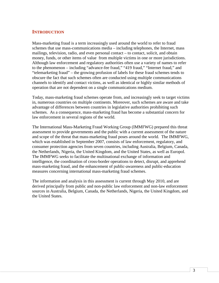## <span id="page-4-0"></span>**INTRODUCTION**

Mass-marketing fraud is a term increasingly used around the world to refer to fraud schemes that use mass-communications media – including telephones, the Internet, mass mailings, television, radio, and even personal contact – to contact, solicit, and obtain money, funds, or other items of value from multiple victims in one or more jurisdictions. Although law enforcement and regulatory authorities often use a variety of names to refer to the phenomenon – including "advance-fee fraud," "419 fraud," "Internet fraud," and "telemarketing fraud" – the growing profusion of labels for these fraud schemes tends to obscure the fact that such schemes often are conducted using multiple communications channels to identify and contact victims, as well as identical or highly similar methods of operation that are not dependent on a single communications medium.

Today, mass-marketing fraud schemes operate from, and increasingly seek to target victims in, numerous countries on multiple continents. Moreover, such schemes are aware and take advantage of differences between countries in legislative authorities prohibiting such schemes. As a consequence, mass-marketing fraud has become a substantial concern for law enforcement in several regions of the world.

The International Mass-Marketing Fraud Working Group (IMMFWG) prepared this threat assessment to provide governments and the public with a current assessment of the nature and scope of the threat that mass-marketing fraud poses around the world. The IMMFWG, which was established in September 2007, consists of law enforcement, regulatory, and consumer protection agencies from seven countries, including Australia, Belgium, Canada, the Netherlands, Nigeria, the United Kingdom, and the United States, as well as Europol. The IMMFWG seeks to facilitate the multinational exchange of information and intelligence, the coordination of cross-border operations to detect, disrupt, and apprehend mass-marketing fraud, and the enhancement of public-awareness and public-education measures concerning international mass-marketing fraud schemes.

The information and analysis in this assessment is current through May 2010, and are derived principally from public and non-public law enforcement and non-law enforcement sources in Australia, Belgium, Canada, the Netherlands, Nigeria, the United Kingdom, and the United States.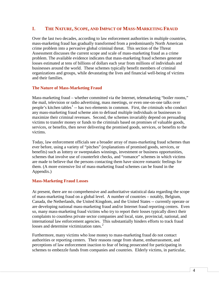## <span id="page-5-0"></span>**I. THE NATURE, SCOPE, AND IMPACT OF MASS-MARKETING FRAUD**

Over the last two decades, according to law enforcement authorities in multiple countries, mass-marketing fraud has gradually transformed from a predominantly North American crime problem into a pervasive global criminal threat. This section of the Threat Assessment discusses the current scope and scale of mass-marketing fraud as a crime problem. The available evidence indicates that mass-marketing fraud schemes generate losses estimated at tens of billions of dollars each year from millions of individuals and businesses around the world. These schemes typically benefit members of criminal organizations and groups, while devastating the lives and financial well-being of victims and their families.

#### **The Nature of Mass-Marketing Fraud**

Mass-marketing fraud – whether committed via the Internet, telemarketing "boiler rooms," the mail, television or radio advertising, mass meetings, or even one-on-one talks over people's kitchen tables<sup>[1](#page-31-0)</sup> -- has two elements in common. First, the criminals who conduct any mass-marketing fraud scheme aim to defraud multiple individuals or businesses to maximize their criminal revenues. Second, the schemes invariably depend on persuading victims to transfer money or funds to the criminals based on promises of valuable goods, services, or benefits, then never delivering the promised goods, services, or benefits to the victims.

Today, law enforcement officials see a broader array of mass-marketing fraud schemes than ever before, using a variety of "pitches" (explanations of promised goods, services, or benefits) such as lottery or sweepstakes winnings, investment or business opportunities, schemes that involve use of counterfeit checks, and "romance" schemes in which victims are made to believe that the persons contacting them have sincere romantic feelings for them. (A more extensive list of mass-marketing fraud schemes can be found in the Appendix.)

#### <span id="page-5-1"></span>**Mass-Marketing Fraud Losses**

At present, there are no comprehensive and authoritative statistical data regarding the scope of mass-marketing fraud on a global level. A number of countries – notably, Belgium, Canada, the Netherlands, the United Kingdom, and the United States -- currently operate or are developing national mass-marketing fraud and/or Internet fraud reporting centers. Even so, many mass-marketing fraud victims who try to report their losses typically direct their complaints to countless private sector companies and local, state, provincial, national, and international law enforcement agencies. This substantially hinders efforts to track fraud losses and determine victimization rates.<sup>[2](#page-31-1)</sup>

Furthermore, many victims who lose money to mass-marketing fraud do not contact authorities or reporting centers. Their reasons range from shame, embarrassment, and perceptions of law enforcement inaction to fear of being prosecuted for participating in schemes to embezzle funds from companies and countries. Elderly victims, in particular,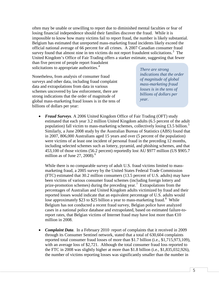often may be unable or unwilling to report due to diminished mental faculties or fear of losing financial independence should their families discover the fraud. While it is impossible to know how many victims fail to report fraud, the number is likely substantial. Belgium has estimated that unreported mass-marketing fraud incidents likely exceed the official national average of 66 percent for all crimes. A 2007 Canadian consumer fraud survey found that almost nine in ten victims do not report fraudulent solicitations. $3$  The United Kingdom's Office of Fair Trading offers a starker estimate, suggesting that fewer

than five percent of people report fraudulent solicitations to appropriate authorities.<sup>[4](#page-31-3)</sup>

Nonetheless, from analysis of consumer fraud surveys and other data, including fraud complaint data and extrapolations from data in various schemes uncovered by law enforcement, there are strong indications that the order of magnitude of global mass-marketing fraud losses is in the tens of billions of dollars per year:

*There are strong indications that the order of magnitude of global mass-marketing fraud losses is in the tens of billions of dollars per year.*

• *Fraud Surveys*. A 2006 United Kingdom Office of Fair Trading (OFT) study estimated that each year 3.2 million United Kingdom adults (6.5 percent of the adult population) fall victim to mass-marketing schemes, collectively losing £3.[5](#page-31-4) billion.<sup>5</sup> Similarly, a June 2008 study by the Australian Bureau of Statistics (ABS) found that in 2007, 806,000 Australians aged 15 years and over (5 percent of the population) were victims of at least one incident of personal fraud in the preceding 12 months, including selected schemes such as lottery, pyramid, and phishing schemes, and that 453,100 of those victims (56.2 percent) reportedly lost AU \$977 million (US \$905.7 million as of June 27, 2008).<sup>[6](#page-31-5)</sup>

While there is no comparable survey of adult U.S. fraud victims limited to massmarketing fraud, a 2005 survey by the United States Federal Trade Commission (FTC) estimated that 30.2 million consumers (13.5 percent of U.S. adults) may have been victims of various consumer fraud schemes (including foreign lottery and prize-promotion schemes) during the preceding year.<sup>[7](#page-31-6)</sup> Extrapolations from the percentages of Australian and United Kingdom adults victimized by fraud and their reported losses would indicate that an equivalent percentage of U.S. adults would lose approximately \$23 to \$25 billion a year to mass-marketing fraud.<sup>[8](#page-31-7)</sup> While Belgium has not conducted a recent fraud survey, Belgian police have analyzed cases in a national police database and extrapolated, based on estimated failure-toreport rates, that Belgian victims of Internet fraud may have lost more than  $\epsilon 0$ million in 2008.

• *Complaint Data*. In a February 2010 report of complaints that it received in 2009 through its Consumer Sentinel network, stated that a total of 630,604 complaints reported total consumer fraud losses of more than \$1.7 billion (i.e., \$1,715,973,109), with an average loss of \$2,721. Although the total consumer fraud loss reported to the FTC in 2008 was slightly higher at more than \$1.8 billion (i.e., \$1,835,032,926), the number of victims reporting losses was significantly smaller than the number in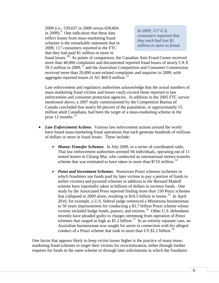2009 (i.e., 539,657 in 2008 versus 630,604 in 200[9](#page-32-0)). $\degree$  One indication that these data reflect losses from mass-marketing fraud schemes is the remarkable statement that in 2009, 117 consumers reported to the FTC that they had paid \$1 million or more in

*In 2009, 117 U.S. consumers reported that they each had lost \$1 million or more to fraud.*

fraud losses.<sup>10</sup> As points of comparison, the Canadian Anti-Fraud Centre received more than 40,000 complaints and documented reported fraud losses of nearly CA \$ 59.3 million in 2009,<sup>[11](#page-32-2)</sup> and the Australian Competition and Consumer Commission received more than 20,000 scam-related complaints and inquiries in 2009, with aggregate reported losses of AU \$69.9 million.<sup>[12](#page-32-3)</sup>

Law enforcement and regulatory authorities acknowledge that the actual numbers of mass-marketing fraud victims and losses vastly exceed those reported to law enforcement and consumer protection agencies. In addition to the 2005 FTC survey mentioned above, a 2007 study commissioned by the Competition Bureau of Canada concluded that nearly 60 percent of the population, or approximately 15 million adult Canadians, had been the target of a mass-marketing scheme in the prior 12 months. $^{13}$  $^{13}$  $^{13}$ 

- *Law Enforcement Actions*. Various law enforcement actions around the world have found mass-marketing fraud operations that each generate hundreds of millions of dollars or more in fraud losses. These include:
	- *Money-Transfer Schemes.* In July 2009, in a series of coordinated raids, Thai law enforcement authorities arrested 94 individuals, operating out of 11 rented homes in Chiang Mai, who conducted an international money-transfer scheme that was estimated to have taken in more than \$710 million.<sup>[14](#page-32-5)</sup>
	- *Ponzi and Investment Schemes*. Numerous Ponzi schemes (schemes in which fraudsters use funds paid by later victims to pay a portion of funds to earlier victims) and pyramid schemes in addition to the Bernard Madoff scheme have reportedly taken in billions of dollars in investor funds. One study by the Associated Press reported finding more than 150 Ponzi schemes that collapsed in 2009 alone, resulting in \$16.5 billion in losses.<sup>[15](#page-32-6)</sup> In April 2010, for example, a U.S. federal judge sentenced a Minnesota businessman to 50 years imprisonment for conducting a \$3.7 billion Ponzi scheme whose victims included hedge funds, pastors, and retirees.<sup>[16](#page-32-7)</sup> Other U.S. defendants recently have pleaded guilty to charges stemming from operation of Ponzi schemes that ranged as high as \$1.2 billion.<sup>17</sup> In an entirely separate case, an Australian businessman was sought for arrest in connection with his alleged conduct of a Ponzi scheme that took in more than US \$1.2 billion.<sup>[18](#page-33-0)</sup>

One factor that appears likely to keep victim losses higher is the practice of many massmarketing fraud schemes to target their victims for revictimization, either through further requests for funds in the same scheme or through later solicitations in which the fraudsters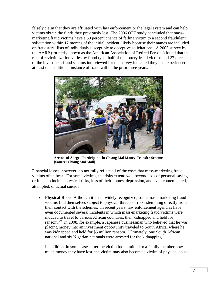falsely claim that they are affiliated with law enforcement or the legal system and can help victims obtain the funds they previously lost. The 2006 OFT study concluded that massmarketing fraud victims have a 30 percent chance of falling victim to a second fraudulent solicitation within 12 months of the initial incident, likely because their names are included on fraudsters' lists of individuals susceptible to deceptive solicitations. A 2003 survey by the AARP (formerly known as the American Association of Retired Persons) found that the risk of revictimization varies by fraud type: half of the lottery fraud victims and 27 percent of the investment fraud victims interviewed for the survey indicated they had experienced at least one additional instance of fraud within the prior three years.<sup>[19](#page-33-1)</sup>



**Arrests of Alleged Participants in Chiang Mai Money-Transfer Scheme [Source: Chiang Mai Mail]** 

Financial losses, however, do not fully reflect all of the costs that mass-marketing fraud victims often bear. For some victims, the risks extend well beyond loss of personal savings or funds to include physical risks, loss of their homes, depression, and even contemplated, attempted, or actual suicide:

• **Physical Risks**. Although it is not widely recognized, some mass-marketing fraud victims find themselves subject to physical threats or risks stemming directly from their contact with the schemes. In recent years, law enforcement agencies have even documented several incidents in which mass-marketing fraud victims were induced to travel to various African countries, then kidnapped and held for ransom.<sup>[20](#page-33-2)</sup> In 2008, for example, a Japanese businessman who believed that he was placing money into an investment opportunity traveled to South Africa, where he was kidnapped and held for \$5 million ransom. Ultimately, one South African national and six Nigerian nationals were arrested for the kidnapping.<sup>[21](#page-33-3)</sup>

In addition, in some cases after the victim has admitted to a family member how much money they have lost, the victim may also become a victim of physical abuse: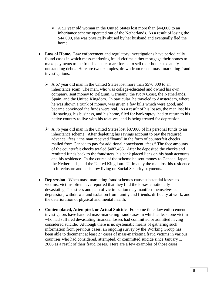- $\triangleright$  A 52 year old woman in the United States lost more than \$44,000 to an inheritance scheme operated out of the Netherlands. As a result of losing the \$44,000, she was physically abused by her husband and eventually fled the home.
- **Loss of Home.** Law enforcement and regulatory investigations have periodically found cases in which mass-marketing fraud victims either mortgage their homes to make payments to the fraud scheme or are forced to sell their homes to satisfy outstanding debts. Here are two examples, drawn from recent mass-marketing fraud investigations:
	- $\triangleright$  A 67 year old man in the United States lost more than \$570,000 to an inheritance scam. The man, who was college-educated and owned his own company, sent money to Belgium, Germany, the Ivory Coast, the Netherlands, Spain, and the United Kingdom. In particular, he traveled to Amsterdam, where he was shown a trunk of money, was given a few bills which were good, and became convinced the funds were real. As a result of his losses, the man lost his life savings, his business, and his home, filed for bankruptcy, had to return to his native country to live with his relatives, and is being treated for depression.
	- $\triangleright$  A 76 year old man in the United States lost \$87,000 of his personal funds to an inheritance scheme. After depleting his savings account to pay the required advance "fees," the man received "loans" in the form of counterfeit checks mailed from Canada to pay for additional nonexistent "fees." The face amounts of the counterfeit checks totaled \$482,466. After he deposited the checks and remitted funds back to the fraudsters, his bank placed liens on his bank accounts and his residence. In the course of the scheme he sent money to Canada, Japan, the Netherlands, and the United Kingdom. Ultimately the man lost his residence to foreclosure and he is now living on Social Security payments.
- **Depression**. When mass-marketing fraud schemes cause substantial losses to victims, victims often have reported that they find the losses emotionally devastating. The stress and pain of victimization may manifest themselves as depression, withdrawal and isolation from family and friends, difficulty at work, and the deterioration of physical and mental health.
- **Contemplated, Attempted, or Actual Suicide**. For some time, law enforcement investigators have handled mass-marketing fraud cases in which at least one victim who had suffered devastating financial losses had committed or admitted having considered suicide. Although there is no systematic means of gathering such information from previous cases, an ongoing survey by the Working Group has been able to document at least 27 cases of mass-marketing fraud victims in various countries who had considered, attempted, or committed suicide since January 1, 2006 as a result of their fraud losses. Here are a few examples of those cases: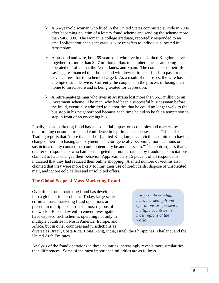- $\triangleright$  A 56-year-old woman who lived in the United States committed suicide in 2006 after becoming a victim of a lottery fraud scheme and sending the scheme more than \$400,000. The woman, a college graduate, reportedly responded to an email solicitation, then sent various wire transfers to individuals located in Amsterdam.
- $\triangleright$  A husband and wife, both 65 years old, who live in the United Kingdom have together lost more than \$2.7 million dollars to an inheritance scam being operated out of China, the Netherlands, and Spain. The couple used their life savings, re-financed their home, and withdrew retirement funds to pay for the advance fees that the scheme charged. As a result of the losses, the wife has attempted suicide twice. Currently the couple is in the process of losing their home to foreclosure and is being treated for depression.
- $\triangleright$  A retirement-age man who lives in Australia lost more than \$6.1 million to an investment scheme. The man, who had been a successful businessman before the fraud, eventually admitted to authorities that he could no longer walk to the bus stop in his neighborhood because each time he did so he felt a temptation to step in front of an oncoming bus.

Finally, mass-marketing fraud has a substantial impact on economies and markets by undermining consumer trust and confidence in legitimate businesses. The Office of Fair Trading reports that "more than half of [United Kingdom] scam victims admitted to having changed their purchasing and payment behavior, generally becoming more cautious or suspicious of any contact that could potentially be another scam."<sup>[22](#page-33-4)</sup> In contrast, less than a quarter of respondents who had been targeted but not defrauded by fraudulent solicitations claimed to have changed their behavior. Approximately 15 percent of all respondents indicated that they had reduced their online shopping. A small number of victims also claimed that they were more likely to limit their use of credit cards, dispose of unsolicited mail, and ignore cold callers and unsolicited offers.

## <span id="page-10-0"></span>**The Global Scope of Mass-Marketing Fraud**

Over time, mass-marketing fraud has developed into a global crime problem. Today, large-scale criminal mass-marketing fraud operations are present in multiple countries in most regions of the world. Recent law enforcement investigations have exposed such schemes operating not only in multiple countries in North America, Europe, and Africa, but in other countries and jurisdictions as

*Large-scale criminal mass-marketing fraud operations are present in multiple countries in most regions of the world.*

diverse as Brazil, Costa Rica, Hong Kong, India, Israel, the Philippines, Thailand, and the United Arab Emirates.

Analysis of the fraud operations in these countries increasingly reveals more similarities than differences. Some of the most important similarities are as follows.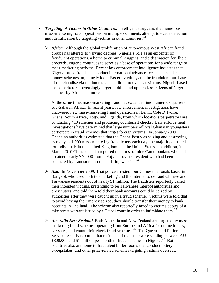- *Targeting of Victims in Other Countries*. Intelligence suggests that numerous mass-marketing fraud operations on multiple continents attempt to evade detection and identification by targeting victims in other countries.<sup>[23](#page-33-5)</sup>
	- *Africa.* Although the global proliferation of autonomous West African fraud groups has altered, to varying degrees, Nigeria's role as an epicenter of fraudulent operations, a home to criminal kingpins, and a destination for illicit proceeds, Nigeria continues to serve as a base of operations for a wide range of mass-marketing activity. Recent law enforcement intelligence indicates that Nigeria-based fraudsters conduct international advance-fee schemes, black money schemes targeting Middle Eastern victims, and the fraudulent purchase of merchandise via the Internet. In addition to overseas victims, Nigeria-based mass-marketers increasingly target middle- and upper-class citizens of Nigeria and nearby African countries.

At the same time, mass-marketing fraud has expanded into numerous quarters of sub-Saharan Africa. In recent years, law enforcement investigations have uncovered new mass-marketing fraud operations in Benin, Cote D'Ivoire, Ghana, South Africa, Togo, and Uganda, from which locations perpetrators are conducting 419 schemes and producing counterfeit checks. Law enforcement investigations have determined that large numbers of local Ghanaian youngsters participate in fraud schemes that target foreign victims. In January 2009 Ghanaian authorities estimated that the Ghana Post was seizing and destroying as many as 1,000 mass-marketing fraud letters each day, the majority destined for individuals in the United Kingdom and the United States. In addition, in March 2010 Chinese media reported the arrest of nine Cameroonians who had obtained nearly \$40,000 from a Fujian province resident who had been contacted by fraudsters through a dating website. $^{24}$  $^{24}$  $^{24}$ 

- *Asia*: In November 2009, Thai police arrested four Chinese nationals based in Bangkok who used both telemarketing and the Internet to defraud Chinese and Taiwanese residents out of nearly \$1 million. The fraudsters reportedly called their intended victims, pretending to be Taiwanese Interpol authorities and prosecutors, and told them told their bank accounts could be seized by authorities after they were caught up in a fraud scheme. Victims were told that to avoid having their money seized, they should transfer their money to bank accounts in Thailand. The scheme also reportedly faxed to victims copies of a fake arrest warrant issued by a Taipei court in order to intimidate them.<sup>[25](#page-34-0)</sup>
- *Australia/New Zealand*: Both Australia and New Zealand are targeted by massmarketing fraud schemes operating from Europe and Africa for online lottery, car-sales, and counterfeit-check fraud schemes.<sup>26</sup> The Queensland Police Service recently reported that residents of that state were sending between AU \$800,000 and \$1 million per month to fraud schemes in Nigeria.<sup>[27](#page-34-2)</sup> Both countries also are home to fraudulent boiler rooms that conduct lottery, sweepstakes, and other prize-related schemes targeting victims overseas.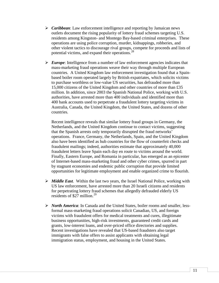- *Caribbean*: Law enforcement intelligence and reporting by Jamaican news outlets document the rising popularity of lottery fraud schemes targeting U.S. residents among Kingston- and Montego Bay-based criminal enterprises. These operations are using police corruption, murder, kidnappings, robberies, and other violent tactics to discourage rival groups, compete for proceeds and lists of potential victims, and expand their operations.[28](#page-34-3)
- *Europe*: Intelligence from a number of law enforcement agencies indicates that mass-marketing fraud operations weave their way through multiple European countries. A United Kingdom law enforcement investigation found that a Spainbased boiler room operated largely by British expatriates, which solicits victims to purchase worthless or low-value US securities, has defrauded more than 15,000 citizens of the United Kingdom and other countries of more than £35 million. In addition, since 2003 the Spanish National Police, working with U.S. authorities, have arrested more than 400 individuals and identified more than 400 bank accounts used to perpetrate a fraudulent lottery targeting victims in Australia, Canada, the United Kingdom, the United States, and dozens of other countries.

Recent intelligence reveals that similar lottery fraud groups in Germany, the Netherlands, and the United Kingdom continue to contact victims, suggesting that the Spanish arrests only temporarily disrupted the fraud networks' operations. France, Germany, the Netherlands, Spain, and the United Kingdom also have been identified as hub countries for the flow of counterfeit checks and fraudulent mailings; indeed, authorities estimate that approximately 40,000 fraudulent letters leave Spain each day en route to victims around the world. Finally, Eastern Europe, and Romania in particular, has emerged as an epicenter of Internet-based mass-marketing fraud and other cyber crimes, spurred in part by stagnant economies and endemic public corruption that provide limited opportunities for legitimate employment and enable organized crime to flourish.

- *Middle East*. Within the last two years, the Israel National Police, working with US law enforcement, have arrested more than 20 Israeli citizens and residents for perpetrating lottery fraud schemes that allegedly defrauded elderly US residents of \$27 million.<sup>[29](#page-34-4)</sup>
- *North America*: In Canada and the United States, boiler rooms and smaller, lessformal mass-marketing fraud operations solicit Canadian, US, and foreign victims with fraudulent offers for medical treatments and cures, illegitimate business opportunities, high-risk investments, guaranteed credit cards and grants, low-interest loans, and over-priced office directories and supplies. Recent investigations have revealed that US-based fraudsters also target immigrants with false offers to assist applicants with obtaining legal immigration status, employment, and housing in the United States.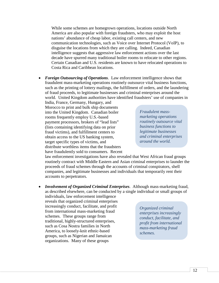While some schemes are homegrown operations, locations outside North America are also popular with foreign fraudsters, who may exploit the host nations' abundance of cheap labor, existing call centers, and new communication technologies, such as Voice over Internet Protocol (VoIP), to disguise the locations from which they are calling. Indeed, Canadian intelligence suggests that aggressive law enforcement actions over the last decade have spurred many traditional boiler rooms to relocate to other regions. Certain Canadian and U.S. residents are known to have relocated operations to Costa Rica and Caribbean locations.

• *Foreign Outsourcing of Operations*. Law enforcement intelligence shows that fraudulent mass-marketing operations routinely outsource vital business functions, such as the printing of lottery mailings, the fulfillment of orders, and the laundering of fraud proceeds, to legitimate businesses and criminal enterprises around the world. United Kingdom authorities have identified fraudsters' use of companies in

India, France, Germany, Hungary, and Morocco to print and bulk ship documents into the United Kingdom. Canadian boiler rooms frequently employ U.S.-based payment processors, brokers of "lead lists" (lists containing identifying data on prior fraud victims), and fulfillment centers to obtain access to the US banking system, target specific types of victims, and distribute worthless items that the fraudsters have fraudulently sold to consumers. Recent

*Fraudulent massmarketing operations routinely outsource vital business functions to legitimate businesses and criminal enterprises around the world.* 

law enforcement investigations have also revealed that West African fraud groups routinely contract with Middle Eastern and Asian criminal enterprises to launder the proceeds of fraud schemes through the accounts of criminal conspirators, shell companies, and legitimate businesses and individuals that temporarily rent their accounts to perpetrators.

• *Involvement of Organized Criminal Enterprises*. Although mass-marketing fraud, as described elsewhere, can be conducted by a single individual or small groups of

individuals, law enforcement intelligence reveals that organized criminal enterprises increasingly conduct, facilitate, and profit from international mass-marketing fraud schemes. These groups range from traditional, highly-structured enterprises, such as Cosa Nostra families in North America, to loosely-knit ethnic-based groups, such as Nigerian and Jamaican organizations. Many of these groups

*Organized criminal enterprises increasingly conduct, facilitate, and profit from international mass-marketing fraud schemes.*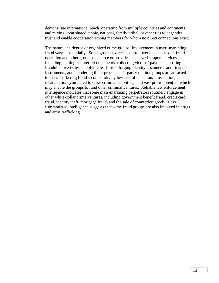demonstrate international reach, operating from multiple countries and continents and relying upon shared ethnic, national, family, tribal, or other ties to engender trust and enable cooperation among members for whom no direct connections exist.

The nature and degree of organized crime groups' involvement in mass-marketing fraud vary substantially. Some groups exercise control over all aspects of a fraud operation and other groups outsource or provide specialized support services, including mailing counterfeit documents, collecting victims' payments, hosting fraudulent web sites, supplying leads lists, forging identity documents and financial instruments, and laundering illicit proceeds. Organized crime groups are attracted to mass-marketing fraud's comparatively low risk of detection, prosecution, and incarceration (compared to other criminal activities), and vast profit potential, which may enable the groups to fund other criminal ventures. Reliable law enforcement intelligence indicates that some mass-marketing perpetrators routinely engage in other white-collar crime ventures, including government benefit fraud, credit card fraud, identity theft, mortgage fraud, and the sale of counterfeit goods. Less substantiated intelligence suggests that some fraud groups are also involved in drugs and arms trafficking.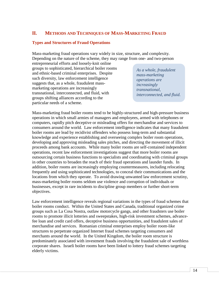# <span id="page-15-0"></span>**II. METHODS AND TECHNIQUES OF MASS-MARKETING FRAUD**

#### <span id="page-15-1"></span>**Types and Structures of Fraud Operations**

Mass-marketing fraud operations vary widely in size, structure, and complexity. Depending on the nature of the scheme, they may range from one- and two-person

entrepreneurial efforts and loosely-knit online groups to sophisticated, hierarchical boiler rooms and ethnic-based criminal enterprises. Despite such diversity, law enforcement intelligence suggests that, as a whole, fraudulent massmarketing operations are increasingly transnational, interconnected, and fluid, with groups shifting alliances according to the particular needs of a scheme.

*As a whole, fraudulent mass-marketing operations are increasingly transnational, interconnected, and fluid.*

Mass-marketing fraud boiler rooms tend to be highly-structured and high-pressure business operations in which small armies of managers and employees, armed with telephones or computers, rapidly pitch deceptive or misleading offers for merchandise and services to consumers around the world. Law enforcement intelligence indicates that many fraudulent boiler rooms are lead by recidivist offenders who possess long-term and substantial knowledge and experience establishing and overseeing complex boiler room operations, developing and approving misleading sales pitches, and directing the movement of illicit proceeds among bank accounts. While many boiler rooms are self-contained independent operations, recent law enforcement investigations suggest that more boiler rooms are outsourcing certain business functions to specialists and coordinating with criminal groups in other countries to broaden the reach of their fraud operations and launder funds. In addition, boiler rooms are increasingly employing countermeasures, including relocating frequently and using sophisticated technologies, to conceal their communications and the locations from which they operate. To avoid drawing unwanted law enforcement scrutiny, mass-marketing boiler rooms seldom use violence and corruption of individuals or businesses, except in rare incidents to discipline group members or further short-term objectives.

Law enforcement intelligence reveals regional variations in the types of fraud schemes that boiler rooms conduct. Within the United States and Canada, traditional organized crime groups such as La Cosa Nostra, outlaw motorcycle gangs, and other fraudsters use boiler rooms to promote illicit lotteries and sweepstakes, high-risk investment schemes, advancefee loan and credit card offers, deceptive business opportunities, and fraudulent sales of merchandise and services. Romanian criminal enterprises employ boiler room-like structures to perpetrate organized Internet fraud schemes targeting consumers and merchants around the world. In the United Kingdom, the boiler room structure is predominately associated with investment frauds involving the fraudulent sale of worthless corporate shares. Israeli boiler rooms have been linked to lottery fraud schemes targeting elderly victims.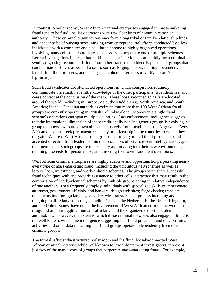In contrast to boiler rooms, West African criminal enterprises engaged in mass-marketing fraud tend to be fluid, insular operations with few clear lines of communication or authority. These criminal organizations may form along tribal or family-relationship lines and appear to be of varying sizes, ranging from entrepreneurial efforts conducted by a few individuals with a computer and a cellular telephone to highly-organized operations involving many cells that coordinate as necessary to perpetrate one or multiple schemes. Recent investigations indicate that multiple cells or individuals can rapidly form criminal syndicates, using recommendations from other fraudsters to identify persons or groups that can facilitate different aspects of a scam, such as forging checks, mailing documents, laundering illicit proceeds, and posing as telephone references to verify a scam's legitimacy.

Such fraud syndicates are attenuated operations, in which conspirators routinely communicate via email, have little knowledge of the other participants' true identities, and cease contact at the conclusion of the scam. These loosely-connected cells are located around the world, including in Europe, Asia, the Middle East, North America, and South America; indeed, Canadian authorities estimate that more than 100 West African fraud groups are currently operating in British Columbia alone. Moreover, a single fraud scheme's operations can span multiple countries. Law enforcement intelligence suggests that the international dimension of these traditionally non-indigenous groups is evolving, as group members - who are drawn almost exclusively from members of the Nigerian or West African diaspora - seek permanent residency or citizenship in the countries to which they migrate. Whereas West African fraud groups historically routed illicit proceeds to and accepted direction from leaders within their countries of origin, recent intelligence suggests that members of such groups are increasingly assimilating into their new environments, retaining proceeds for personal use, and directing their own fraudulent operations.

West African criminal enterprises are highly adaptive and opportunistic, perpetrating nearly every type of mass-marketing fraud, including the ubiquitous 419 schemes as well as lottery, loan, investment, and work-at-home schemes. The groups often share successful fraud techniques with and provide assistance to other cells, a practice that may result in the commission of nearly-identical schemes by multiple groups acting in relative independence of one another. They frequently employ individuals with specialized skills to impersonate attorneys, government officials, and bankers; design web sites; forge checks; translate documents into foreign languages; collect wire transfers; and process incoming and outgoing mail. Many countries, including Canada, the Netherlands, the United Kingdom, and the United States, have noted the involvement of West African criminal networks in drugs and arms smuggling, human trafficking, and the organized export of stolen automobiles. However, the extent to which these criminal networks also engage in fraud is not well known, with some intelligence suggesting that fraud proceeds fund other criminal activities and other data indicating that fraud groups operate independently from other criminal groups.

The formal, efficiently-structured boiler room and the fluid, loosely-connected West African criminal network, while well-known to law enforcement investigators, represent just two of the many types of groups that perpetrate mass-marketing fraud. For example,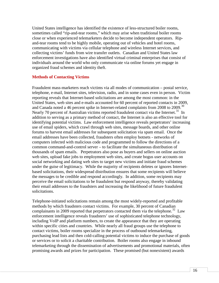United States intelligence has identified the existence of less-structured boiler rooms, sometimes called "rip-and-tear rooms," which may arise when traditional boiler rooms close or when experienced telemarketers decide to become independent operators. Ripand-tear rooms tend to be highly mobile, operating out of vehicles and hotel rooms, communicating with victims via cellular telephone and wireless Internet services, and collecting victims' funds from wire transfer outlets. Canadian and United States law enforcement investigations have also identified virtual criminal enterprises that consist of individuals around the world who only communicate via online forums yet engage in organized fraud schemes and identity theft.

#### <span id="page-17-0"></span>**Methods of Contacting Victims**

Fraudulent mass-marketers reach victims via all modes of communication – postal service, telephone, e-mail, Internet sites, television, radio, and in some cases even in person. Victim reporting reveals that Internet-based solicitations are among the most common: in the United States, web sites and e-mails accounted for 60 percent of reported contacts in 2009, and Canada noted a 46 percent spike in Internet-related complaints from 2008 to 2009. [30](#page-34-5) Nearly 70 percent of Australian victims reported fraudulent contact via the Internet.<sup>31</sup> In addition to serving as a primary method of contact, the Internet is also an effective tool for identifying potential victims. Law enforcement intelligence reveals perpetrators' increasing use of email spiders, which crawl through web sites, message boards, and other online forums to harvest email addresses for subsequent solicitation via spam email. Once the email addresses have been collected, fraudsters often employ botnets - networks of computers infected with malicious code and programmed to follow the directions of a common command-and-control server – to facilitate the simultaneous distribution of thousands of spam emails. Perpetrators also pose as buyers and sellers on online auction web sites, upload fake jobs to employment web sites, and create bogus user accounts on social networking and dating web sites to target new victims and initiate fraud schemes under the guise of legitimacy. While the majority of recipients deletes or ignores Internetbased solicitations, their widespread distribution ensures that some recipients will believe the messages to be credible and respond accordingly. In addition, some recipients may perceive the email solicitations to be fraudulent but respond anyway, thereby validating their email addresses to the fraudsters and increasing the likelihood of future fraudulent solicitations.

Telephone-initiated solicitations remain among the most widely-reported and profitable methods by which fraudsters contact victims. For example, 30 percent of Canadian complainants in 2009 reported that perpetrators contacted them via the telephone.<sup>[32](#page-34-7)</sup> Law enforcement intelligence reveals fraudsters' use of sophisticated telephone technology, including VoIP and platform numbers, to create the appearance that they are operating within specific cities and countries. While nearly all fraud groups use the telephone to contact victims, boiler rooms specialize in the process of outbound telemarketing, purchasing lead lists and then cold-calling potential victims to induce the purchase of goods or services or to solicit a charitable contribution. Boiler rooms also engage in inbound telemarketing through the dissemination of advertisements and promotional materials, often promising awards and prizes for participation. These promised (but nonexistent) awards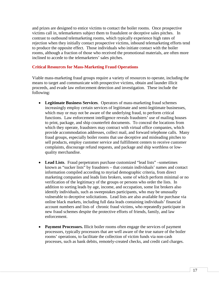and prizes are designed to entice victims to contact the boiler rooms. Once prospective victims call in, telemarketers subject them to fraudulent or deceptive sales pitches. In contrast to outbound telemarketing rooms, which typically experience high rates of rejection when they initially contact prospective victims, inbound telemarketing efforts tend to produce the opposite effect. Those individuals who initiate contact with the boiler rooms, although a fraction of those who received the promotional materials, are often more inclined to accede to the telemarketers' sales pitches.

#### <span id="page-18-0"></span>**Critical Resources for Mass-Marketing Fraud Operations**

Viable mass-marketing fraud groups require a variety of resources to operate, including the means to target and communicate with prospective victims, obtain and launder illicit proceeds, and evade law enforcement detection and investigation. These include the following:

- **Legitimate Business Services**. Operators of mass-marketing fraud schemes increasingly employ certain services of legitimate and semi-legitimate businesses, which may or may not be aware of the underlying fraud, to perform critical functions. Law enforcement intelligence reveals fraudsters' use of mailing houses to print, package, and ship counterfeit documents. To conceal the locations from which they operate, fraudsters may contract with virtual office companies, which provide accommodation addresses, collect mail, and forward telephone calls. Many fraud groups, especially boiler rooms that use deceptive and misleading pitches to sell products, employ customer service and fulfillment centers to receive customer complaints, discourage refund requests, and package and ship worthless or lowquality merchandise.
- **Lead Lists**. Fraud perpetrators purchase customized "lead lists" –sometimes known as "sucker lists" by fraudsters – that contain individuals' names and contact information compiled according to myriad demographic criteria, from direct marketing companies and leads lists brokers, some of which perform minimal or no verification of the legitimacy of the groups or persons who order the lists. In addition to sorting leads by age, income, and occupation, some list brokers also identify individuals, such as sweepstakes participants, who may be unusually vulnerable to deceptive solicitations. Lead lists are also available for purchase via online black markets, including full data leads containing individuals' financial account numbers and lists of chronic fraud victims, who repeatedly participate in new fraud schemes despite the protective efforts of friends, family, and law enforcement.
- **Payment Processors.** Illicit boiler rooms often engage the services of payment processors, typically processors that are well aware of the true nature of the boiler rooms' operations, to facilitate the collection of victim funds via non-cash processes, such as bank debits, remotely-created checks, and credit card charges.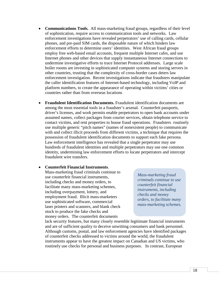- **Communications Tools.** All mass-marketing fraud groups, regardless of their level of sophistication, require access to communication tools and networks. Law enforcement investigations have revealed perpetrators' use of calling cards, cellular phones, and pre-paid SIM cards, the disposable nature of which hinders law enforcement efforts to determine users' identities. West African fraud groups employ free web-based email accounts, frequent multiple Internet cafes, and use Internet phones and other devices that supply instantaneous Internet connections to undermine investigative efforts to trace Internet Protocol addresses. Large scale boiler rooms are investing in sophisticated computer systems and storing servers in other countries, trusting that the complexity of cross-border cases deters law enforcement investigation. Recent investigations indicate that fraudsters manipulate the caller identification features of Internet-based technology, including VoIP and platform numbers, to create the appearance of operating within victims' cities or countries rather than from overseas locations
- **Fraudulent Identification Documents.** Fraudulent identification documents are among the most essential tools in a fraudster's arsenal. Counterfeit passports, driver's licenses, and work permits enable perpetrators to open bank accounts under assumed names, collect packages from courier services, obtain telephone service to contact victims, and rent properties to house fraud operations. Fraudsters routinely use multiple generic "pitch names" (names of nonexistent people) to communicate with and collect illicit proceeds from different victims, a technique that requires the possession of fraudulent identification documents to support each fake persona. Law enforcement intelligence has revealed that a single perpetrator may use hundreds of fraudulent identities and multiple perpetrators may use one common identity, undermining law enforcement efforts to locate perpetrators and intercept fraudulent wire transfers.

#### • **Counterfeit Financial Instruments**.

Mass-marketing fraud criminals continue to use counterfeit financial instruments, including checks and money orders, to facilitate many mass-marketing schemes, including overpayment, lottery, and employment fraud. Illicit mass-marketers use sophisticated software, commercial laser printers and scanners, and blank check stock to produce the fake checks and money orders. The counterfeit documents

*Mass-marketing fraud criminals continue to use counterfeit financial instruments, including checks and money orders, to facilitate many mass-marketing schemes.*

lack security features, but many closely resemble legitimate financial instruments and are of sufficient quality to deceive unwitting consumers and bank personnel. Although customs, postal, and law enforcement agencies have identified packages of counterfeit checks addressed to victims around the world, the fraudulent instruments appear to have the greatest impact on Canadian and US victims, who routinely use checks for personal and business purposes. In contrast, European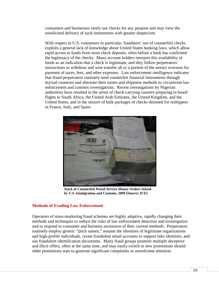consumers and businesses rarely use checks for any purpose and may view the unsolicited delivery of such instruments with greater skepticism.

With respect to U.S. consumers in particular, fraudsters' use of counterfeit checks exploits a general lack of knowledge about United States banking laws, which allow rapid access to funds from most check deposits, often before a bank has confirmed the legitimacy of the checks. Many account holders interpret this availability of funds as an indication that a check is legitimate, and they follow perpetrators' instructions to withdraw and wire transfer all or a portion of the money overseas for payment of taxes, fees, and other expenses. Law enforcement intelligence indicates that fraud perpetrators routinely send counterfeit financial instruments through myriad countries and alternate their routes and shipment methods to circumvent law enforcement and customs investigations. Recent investigations by Nigerian authorities have resulted in the arrest of check-carrying couriers preparing to board flights to South Africa, the United Arab Emirates, the United Kingdom, and the United States, and in the seizure of bulk packages of checks destined for reshippers in France, Italy, and Spain.



**Stack of Counterfeit Postal Service Money Orders Seized by U.S. Immigration and Customs, 2009 [Source: ICE]**

#### <span id="page-20-0"></span>**Methods of Evading Law Enforcement**

Operators of mass-marketing fraud schemes are highly adaptive, rapidly changing their methods and techniques to reduce the risks of law enforcement detection and investigation and to respond to consumer and business awareness of their current methods. Perpetrators routinely employ generic "pitch names," assume the identities of legitimate organizations and high-profile individuals, create fraudulent email accounts to support fake identities, and use fraudulent identification documents. Many fraud groups promote multiple deceptive and illicit offers, often at the same time, and may easily switch to new promotions should older promotions start to generate significant complaints or unwelcome attention.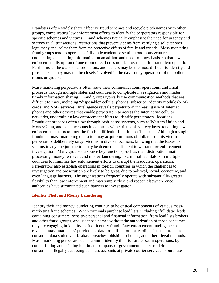Fraudsters often widely share effective fraud schemes and recycle pitch names with other groups, complicating law enforcement efforts to identify the perpetrators responsible for specific schemes and victims. Fraud schemes typically emphasize the need for urgency and secrecy in all transactions, restrictions that prevent victims from verifying a solicitation's legitimacy and isolate them from the protective efforts of family and friends. Mass-marketing fraud groups tend to operate as fully independent or semi-autonomous ventures, cooperating and sharing information on an ad-hoc and need-to-know basis, so that law enforcement disruption of one room or cell does not destroy the entire fraudulent operation. Furthermore, the owners, coordinators, and leaders may be the most difficult to identify and prosecute, as they may not be closely involved in the day-to-day operations of the boiler rooms or groups.

Mass-marketing perpetrators often route their communications, operations, and illicit proceeds through multiple states and countries to complicate investigations and hinder timely information sharing. Fraud groups typically use communication methods that are difficult to trace, including "disposable" cellular phones, subscriber identity module (SIM) cards, and VoIP services. Intelligence reveals perpetrators' increasing use of Internet phones and other devices that enable perpetrators to access the Internet via cellular networks, undermining law enforcement efforts to identify perpetrators' locations. Fraudulent proceeds often flow through cash-based systems, such as Western Union and MoneyGram, and bank accounts in countries with strict bank secrecy laws, rendering law enforcement efforts to trace the funds a difficult, if not impossible, task. Although a single fraudulent mass-marketing operation may acquire millions of dollars from its victims, perpetrators deliberately target victims in diverse locations, knowing that the losses to victims in any one jurisdiction may be deemed insufficient to warrant law enforcement investigation. Many groups outsource key functions, such as mail distribution, mail processing, money retrieval, and money laundering, to criminal facilitators in multiple countries to minimize law enforcement efforts to disrupt the fraudulent operations. Perpetrators also establish operations in foreign countries in which the challenges to investigation and prosecution are likely to be great, due to political, social, economic, and even language barriers. The organizations frequently operate with substantially-greater flexibility than law enforcement and may simply close and reopen elsewhere once authorities have surmounted such barriers to investigation.

#### <span id="page-21-0"></span>**Identity Theft and Money Laundering**

Identity theft and money laundering continue to be critical components of various massmarketing fraud schemes. When criminals purchase lead lists, including "full data" leads containing consumers' sensitive personal and financial information, from lead lists brokers and other fraud groups, and use those names without the authorization of those consumer, they are engaging in identity theft or identity fraud. Law enforcement intelligence has revealed mass-marketers' purchase of data from illicit online carding sites that trade in consumer data stolen via database breaches, phishing schemes, and other illegal methods. Mass-marketing perpetrators also commit identity theft to further scam operations, by counterfeiting and printing legitimate company or government checks to defraud consumers, illegally accessing business accounts at private courier services to purchase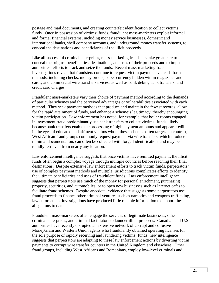postage and mail documents, and creating counterfeit identification to collect victims' funds. Once in possession of victims' funds, fraudulent mass-marketers exploit informal and formal financial systems, including money service businesses, domestic and international banks, shell company accounts, and underground money transfer systems, to conceal the destinations and beneficiaries of the illicit proceeds.

Like all successful criminal enterprises, mass-marketing fraudsters take great care to conceal the origins, beneficiaries, destinations, and uses of their proceeds and to impede authorities' efforts to track and seize the funds. Recent mass-marketing fraud investigations reveal that fraudsters continue to request victim payments via cash-based methods, including checks, money orders, paper currency hidden within magazines and cards, and commercial wire transfer services, as well as bank debits, bank transfers, and credit card charges.

Fraudulent mass-marketers vary their choice of payment method according to the demands of particular schemes and the perceived advantages or vulnerabilities associated with each method. They seek payment methods that produce and maintain the fewest records, allow for the rapid attainment of funds, and enhance a scheme's legitimacy, thereby encouraging victim participation. Law enforcement has noted, for example, that boiler rooms engaged in investment fraud predominantly use bank transfers to collect victims' funds, likely because bank transfers enable the processing of high payment amounts and appear credible in the eyes of educated and affluent victims whom these schemes often target. In contrast, West African fraud groups commonly request payment via wire transfers, which produce minimal documentation, can often be collected with forged identification, and may be rapidly retrieved from nearly any location.

Law enforcement intelligence suggests that once victims have remitted payment, the illicit funds often begin a complex voyage through multiple countries before reaching their final destinations. Despite extensive law enforcement efforts to track victim funds, perpetrators' use of complex payment methods and multiple jurisdictions complicates efforts to identify the ultimate beneficiaries and uses of fraudulent funds. Law enforcement intelligence suggests that perpetrators use much of the money for personal enrichment, purchasing property, securities, and automobiles, or to open new businesses such as Internet cafes to facilitate fraud schemes. Despite anecdotal evidence that suggests some perpetrators use fraud proceeds to finance other criminal ventures such as narcotics and weapons trafficking, law enforcement investigations have produced little reliable information to support these allegations to date.

Fraudulent mass-marketers often engage the services of legitimate businesses, other criminal enterprises, and criminal facilitators to launder illicit proceeds. Canadian and U.S. authorities have recently disrupted an extensive network of corrupt and collusive MoneyGram and Western Union agents who fraudulently obtained operating licenses for the sole purpose of rapidly receiving and laundering victims' funds; new intelligence suggests that perpetrators are adapting to these law enforcement actions by diverting victim payments to corrupt wire transfer counters in the United Kingdom and elsewhere. Other fraud groups, including West Africans and Romanians, employ low-level criminals and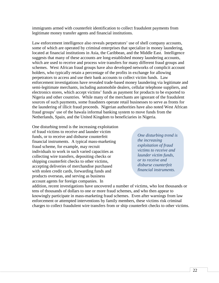immigrants armed with counterfeit identification to collect fraudulent payments from legitimate money transfer agents and financial institutions.

Law enforcement intelligence also reveals perpetrators' use of shell company accounts, some of which are operated by criminal enterprises that specialize in money laundering, located at financial institutions in Asia, the Caribbean, and the Middle East. Intelligence suggests that many of these accounts are long-established money laundering accounts, which are used to receive and process wire transfers for many different fraud groups and schemes. West African fraud groups have also developed networks of complicit account holders, who typically retain a percentage of the profits in exchange for allowing perpetrators to access and use their bank accounts to collect victim funds. Law enforcement investigations have revealed trade-based money laundering via legitimate and semi-legitimate merchants, including automobile dealers, cellular telephone suppliers, and electronics stores, which accept victims' funds as payment for products to be exported to Nigeria and other countries. While many of the merchants are ignorant of the fraudulent sources of such payments, some fraudsters operate retail businesses to serve as fronts for the laundering of illicit fraud proceeds. Nigerian authorities have also noted West African fraud groups' use of the hawala informal banking system to move funds from the Netherlands, Spain, and the United Kingdom to beneficiaries in Nigeria.

One disturbing trend is the increasing exploitation of fraud victims to receive and launder victim funds, or to receive and disburse counterfeit financial instruments. A typical mass-marketing fraud scheme, for example, may recruit individuals to work in such varied capacities as collecting wire transfers, depositing checks or shipping counterfeit checks to other victims, accepting deliveries of merchandise purchased with stolen credit cards, forwarding funds and products overseas, and serving as business account agents for foreign companies. In

*One disturbing trend is the increasing exploitation of fraud victims to receive and launder victim funds, or to receive and disburse counterfeit financial instruments.*

addition, recent investigations have uncovered a number of victims, who lost thousands or tens of thousands of dollars to one or more fraud schemes, and who then appear to knowingly participate in mass-marketing fraud schemes. Even after warnings from law enforcement or attempted interventions by family members, these victims risk criminal charges to collect fraudulent wire transfers from or ship counterfeit checks to other victims.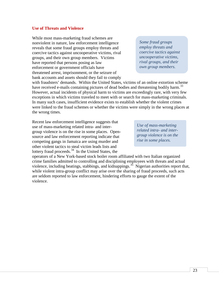#### <span id="page-24-0"></span>**Use of Threats and Violence**

While most mass-marketing fraud schemes are nonviolent in nature, law enforcement intelligence reveals that some fraud groups employ threats and coercive tactics against uncooperative victims, rival groups, and their own group members. Victims have reported that persons posing as law enforcement or government officials have threatened arrest, imprisonment, or the seizure of bank accounts and assets should they fail to comply

*Some fraud groups employ threats and coercive tactics against uncooperative victims, rival groups, and their own group members.*

with fraudsters' demands. Within the United States, victims of an online extortion scheme have received e-mails containing pictures of dead bodies and threatening bodily harm.<sup>[33](#page-35-0)</sup> However, actual incidents of physical harm to victims are exceedingly rare, with very few exceptions in which victims traveled to meet with or search for mass-marketing criminals. In many such cases, insufficient evidence exists to establish whether the violent crimes were linked to the fraud schemes or whether the victims were simply in the wrong places at the wrong times.

Recent law enforcement intelligence suggests that use of mass-marketing related intra- and intergroup violence is on the rise in some places. Opensource and law enforcement reporting indicate that competing gangs in Jamaica are using murder and other violent tactics to steal victim leads lists and lottery fraud proceeds.<sup>[34](#page-35-1)</sup> In the United States, the

*Use of mass-marketing related intra- and intergroup violence is on the rise in some places.*

operators of a New York-based stock boiler room affiliated with two Italian organized crime families admitted to controlling and disciplining employees with threats and actual violence, including beatings, stabbings, and kidnappings.<sup>35</sup> Nigerian authorities report that, while violent intra-group conflict may arise over the sharing of fraud proceeds, such acts are seldom reported to law enforcement, hindering efforts to gauge the extent of the violence.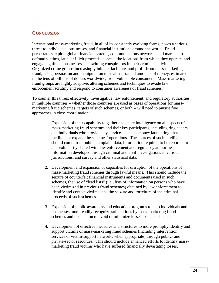## <span id="page-25-0"></span>**CONCLUSION**

International mass-marketing fraud, in all of its constantly evolving forms, poses a serious threat to individuals, businesses, and financial institutions around the world. Fraud perpetrators exploit global financial systems, communications networks, and markets to defraud victims, launder illicit proceeds, conceal the locations from which they operate, and engage legitimate businesses as unwitting conspirators in their criminal activities. Organized crime groups increasingly initiate, facilitate, and profit from mass-marketing fraud, using persuasion and manipulation to steal substantial amounts of money, estimated in the tens of billions of dollars worldwide, from vulnerable consumers. Mass-marketing fraud groups are highly adaptive, altering schemes and techniques to evade law enforcement scrutiny and respond to consumer awareness of fraud schemes.

To counter this threat effectively, investigative, law enforcement, and regulatory authorities in multiple countries – whether those countries are used as bases of operations for massmarketing fraud schemes, targets of such schemes, or both -- will need to pursue five approaches in close coordination:

- 1. Expansion of their capability to gather and share intelligence on all aspects of mass-marketing fraud schemes and their key participants, including ringleaders and individuals who provide key services, such as money laundering, that facilitate or expand the schemes' operations. The sources of such intelligence should come from public complaint data, information required to be reported to and voluntarily shared with law enforcement and regulatory authorities, information developed through criminal and civil investigations in various jurisdictions, and survey and other statistical data.
- 2. Development and expansion of capacities for disruption of the operations of mass-marketing fraud schemes through lawful means. This should include the seizure of counterfeit financial instruments and documents used in such schemes, the use of "lead lists" (i.e., lists of information on persons who have been victimized in previous fraud schemes) obtained by law enforcement to identify and contact victims, and the seizure and forfeiture of the criminal proceeds of such schemes.
- 3. Expansion of public awareness and education programs to help individuals and businesses more readily recognize solicitations by mass-marketing fraud schemes and take action to avoid or minimize losses to such schemes.
- 4. Development of effective measures and structures to more promptly identify and support victims of mass-marketing fraud schemes (including intervention services or victim-support networks when appropriate) through public- and private-sector resources. This should include enhanced efforts to identify massmarketing fraud victims who have suffered financially devastating losses,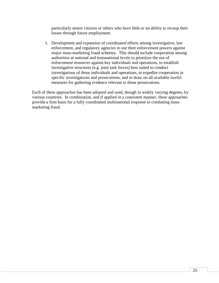particularly senior citizens or others who have little or no ability to recoup their losses through future employment.

5. Development and expansion of coordinated efforts among investigative, law enforcement, and regulatory agencies to use their enforcement powers against major mass-marketing fraud schemes. This should include cooperation among authorities at national and transnational levels to prioritize the use of enforcement resources against key individuals and operations, to establish investigative structures (e.g. joint task forces) best suited to conduct investigations of those individuals and operations, to expedite cooperation in specific investigations and prosecutions, and to draw on all available lawful measures for gathering evidence relevant to those prosecutions.

Each of these approaches has been adopted and used, though in widely varying degrees, by various countries. In combination, and if applied in a consistent manner, these approaches provide a firm basis for a fully coordinated multinational response to combating massmarketing fraud.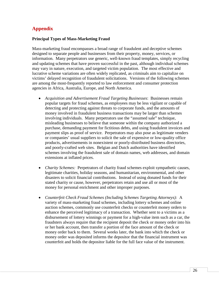# **Appendix**

#### **Principal Types of Mass-Marketing Fraud**

Mass-marketing fraud encompasses a broad range of fraudulent and deceptive schemes designed to separate people and businesses from their property, money, services, or information. Many perpetrators use generic, well-known fraud templates, simply recycling and updating schemes that have proven successful in the past, although individual schemes may vary in nature, execution, and targeted victim population. The most effective and lucrative scheme variations are often widely replicated, as criminals aim to capitalize on victims' delayed recognition of fraudulent solicitations. Versions of the following schemes are among the most-frequently reported to law enforcement and consumer protection agencies in Africa, Australia, Europe, and North America.

- *Acquisition and Advertisement Fraud Targeting Businesses*: Businesses remain popular targets for fraud schemes, as employees may be less vigilant or capable of detecting and protecting against threats to corporate funds, and the amounts of money involved in fraudulent business transactions may be larger than schemes involving individuals. Many perpetrators use the "assumed sale" technique, misleading businesses to believe that someone within the company authorized a purchase, demanding payment for fictitious debts, and using fraudulent invoices and payment slips as proof of service. Perpetrators may also pose as legitimate venders or companies' usual suppliers to solicit the sale of expensive or low-quality office products, advertisements in nonexistent or poorly-distributed business directories, and poorly-crafted web sites. Belgian and Dutch authorities have identified schemes involving the fraudulent sale of domain names, web addresses, and domain extensions at inflated prices.
- *Charity Schemes:* Perpetrators of charity fraud schemes exploit sympathetic causes, legitimate charities, holiday seasons, and humanitarian, environmental, and other disasters to solicit financial contributions. Instead of using donated funds for their stated charity or cause, however, perpetrators retain and use all or most of the money for personal enrichment and other improper purposes.
- *Counterfeit Check Fraud Schemes (Including Schemes Targeting Attorneys):* A variety of mass-marketing fraud schemes, including lottery schemes and online auction schemes, commonly use counterfeit checks or counterfeit money orders to enhance the perceived legitimacy of a transaction. Whether sent to a victims as a disbursement of lottery winnings or payment for a high-value item such as a car, the fraudsters always require that the recipient deposit the check or money order into his or her bank account, then transfer a portion of the face amount of the check or money order back to them. Several weeks later, the bank into which the check or money order was deposited informs the depositor that the financial instrument was counterfeit and holds the depositor liable for the full face value of the instrument.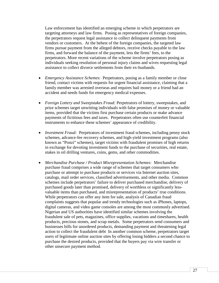Law enforcement has identified an emerging scheme in which perpetrators are targeting attorneys and law firms. Posing as representatives of foreign companies, the perpetrators request legal assistance to collect delinquent payments from vendors or customers. At the behest of the foreign companies, the targeted law firms pursue payment from the alleged debtors, receive checks payable to the law firms, and forward the balance of the payment, less the firms' fees, to the perpetrators. More recent variations of the scheme involve perpetrators posing as individuals seeking resolution of personal injury claims and wives requesting legal assistance to collect divorce settlements from their ex-husbands.

- *Emergency Assistance Schemes*: Perpetrators, posing as a family member or close friend, contact victims with requests for urgent financial assistance, claiming that a family member was arrested overseas and requires bail money or a friend had an accident and needs funds for emergency medical expenses.
- *Foreign Lottery and Sweepstakes Fraud:* Perpetrators of lottery, sweepstakes, and prize schemes target unwitting individuals with false promises of money or valuable items, provided that the victims first purchase certain products or make advance payments of fictitious fees and taxes. Perpetrators often use counterfeit financial instruments to enhance these schemes' appearance of credibility.
- *Investment Fraud:* Perpetrators of investment fraud schemes, including penny stock schemes, advance-fee recovery schemes, and high-yield investment programs (also known as "Ponzi" schemes), target victims with fraudulent promises of high returns in exchange for devoting investment funds to the purchase of securities, real estate, stakes in oil drilling ventures, coins, gems, and other commodities.
- *Merchandise Purchase / Product Misrepresentation Schemes:* Merchandise purchase fraud comprises a wide range of schemes that target consumers who purchase or attempt to purchase products or services via Internet auction sites, catalogs, mail order services, classified advertisements, and other media. Common schemes include perpetrators' failure to deliver purchased merchandise, delivery of purchased goods later than promised, delivery of worthless or significantly lessvaluable items than purchased, and misrepresentation of products' true conditions. While perpetrators can offer any item for sale, analysis of Canadian fraud complaints suggests that popular and trendy technologies such as iPhones, laptops, digital cameras, and video game consoles are among the most commonly advertised. Nigerian and US authorities have identified similar schemes involving the fraudulent sale of pets, magazines, office supplies, vacations and timeshares, health products, precious stones, and scrap metals. Some perpetrators send consumers and businesses bills for unordered products, demanding payment and threatening legal action to collect the fraudulent debt In another common scheme, perpetrators target users of legitimate online auction sites by offering losing bidders a second chance to purchase the desired products, provided that the buyers pay via wire transfer or other unsecure payment method.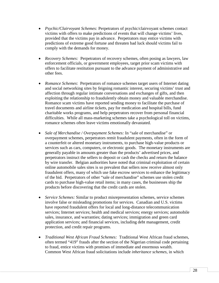- *Psychic/Clairvoyant Schemes:* Perpetrators of psychic/clairvoyant schemes contact victims with offers to make predictions of events that will change victims' lives, provided that the victims pay in advance. Perpetrators may entice victims with predictions of extreme good fortune and threaten bad luck should victims fail to comply with the demands for money.
- *Recovery Schemes:* Perpetrators of recovery schemes, often posing as lawyers, law enforcement officials, or government employees, target prior scam victims with offers to facilitate restitution pursuant to the advance payment of administrative and other fees.
- *Romance Schemes*: Perpetrators of romance schemes target users of Internet dating and social networking sites by feigning romantic interest, securing victims' trust and affection through regular intimate conversations and exchanges of gifts, and then exploiting the relationship to fraudulently obtain money and valuable merchandise. Romance scam victims have reported sending money to facilitate the purchase of travel documents and airline tickets, pay for medication and hospital bills, fund charitable works programs, and help perpetrators recover from personal financial difficulties. While all mass-marketing schemes take a psychological toll on victims, romance schemes often leave victims emotionally devastated.
- *Sale of Merchandise / Overpayment Schemes:* In "sale of merchandise" or overpayment schemes, perpetrators remit fraudulent payments, often in the form of a counterfeit or altered monetary instruments, to purchase high-value products or services such as cars, computers, or electronic goods. The monetary instruments are generally payable in amounts greater than the products' advertised prices, and perpetrators instruct the sellers to deposit or cash the checks and return the balance by wire transfer. Belgian authorities have noted that criminal exploitation of certain online automobile sales sites is so prevalent that sellers now receive almost only fraudulent offers, many of which use fake escrow services to enhance the legitimacy of the bid. Perpetrators of other "sale of merchandise" schemes use stolen credit cards to purchase high-value retail items; in many cases, the businesses ship the products before discovering that the credit cards are stolen.
- *Service Schemes:* Similar to product misrepresentation schemes, service schemes involve false or misleading promotions for services. Canadian and U.S. victims have reported fraudulent offers for local and long-distance telecommunication services; Internet services; health and medical services; energy services; automobile sales, insurance, and warranties; dating services; immigration and green card application services; and financial services, including debt management, credit protection, and credit repair programs.
- *Traditional West African Fraud Schemes:* Traditional West African fraud schemes, often termed "419" frauds after the section of the Nigerian criminal code pertaining to fraud, entice victims with promises of immediate and enormous wealth. Common West African fraud solicitations include *inheritance schemes*, in which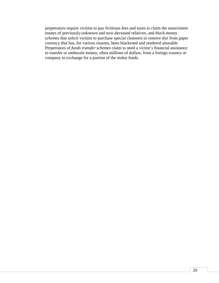perpetrators require victims to pay fictitious fees and taxes to claim the nonexistent estates of previously-unknown and now-deceased relatives, and *black-money schemes* that solicit victims to purchase special cleansers to remove dye from paper currency that has, for various reasons, been blackened and rendered unusable. Perpetrators of *funds transfer schemes* claim to need a victim's financial assistance to transfer or embezzle money, often millions of dollars, from a foreign country or company in exchange for a portion of the stolen funds.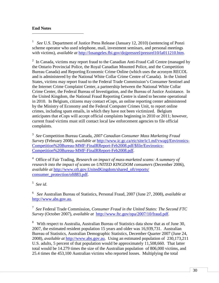### **End Notes**

 $\overline{a}$ 

<span id="page-31-0"></span>1 *See* U.S. Department of Justice Press Release (January 12, 2010) (sentencing of Ponzi scheme operator who used telephone, mail, investment seminars, and personal meetings with victims), *available at* [http://losangeles.fbi.gov/dojpressrel/pressrel10/la011210.htm.](http://losangeles.fbi.gov/dojpressrel/pressrel10/la011210.htm)

<span id="page-31-1"></span> $2 \text{ In Canada, victims may report fraud to the Canadian Anti-Fraud Call Centre ( managed by }$ the Ontario Provincial Police, the Royal Canadian Mounted Police, and the Competition Bureau Canada) and Reporting Economic Crime Online (which uses the acronym RECOL and is administered by the National White Collar Crime Centre of Canada). In the United States, victims may report fraud to the Federal Trade Commission's Consumer Sentinel and the Internet Crime Complaint Center, a partnership between the National White Collar Crime Center, the Federal Bureau of Investigation, and the Bureau of Justice Assistance. In the United Kingdom, the National Fraud Reporting Centre is slated to become operational in 2010. In Belgium, citizens may contact eCops, an online reporting center administered by the Ministry of Economy and the Federal Computer Crimes Unit, to report online crimes, including spam emails, in which they have not been victimized. Belgium anticipates that eCops will accept official complaints beginning in 2010 or 2011; however, current fraud victims must still contact local law enforcement agencies to file official complaints.

<span id="page-31-2"></span><sup>3</sup> *See* Competition Bureau Canada, *2007 Canadian Consumer Mass Marketing Fraud Surve*y (February 2008), *available at* [http://www.ic.gc.ca/eic/site/ic1.nsf/vwapj/Environics-](http://www.ic.gc.ca/eic/site/ic1.nsf/vwapj/Environics-Competition%20Bureau-MMF-FinalRReport-Feb2008.pdf/$file/Environics-Competition%20Bureau-MMF-FinalRReport-Feb2008.pdf)[Competition%20Bureau-MMF-FinalRReport-Feb2008.pdf/\\$file/Environics-](http://www.ic.gc.ca/eic/site/ic1.nsf/vwapj/Environics-Competition%20Bureau-MMF-FinalRReport-Feb2008.pdf/$file/Environics-Competition%20Bureau-MMF-FinalRReport-Feb2008.pdf)[Competition%20Bureau-MMF-FinalRReport-Feb2008.pdf.](http://www.ic.gc.ca/eic/site/ic1.nsf/vwapj/Environics-Competition%20Bureau-MMF-FinalRReport-Feb2008.pdf/$file/Environics-Competition%20Bureau-MMF-FinalRReport-Feb2008.pdf)

<span id="page-31-3"></span><sup>4</sup> Office of Fair Trading, *Research on impact of mass-marketed scams: A summary of research into the impact of scams on UNITED KINGDOM consumers* (December 2006), *available at* [http://www.oft.gov.UnitedKingdom/shared\\_oft/reports/](http://www.oft.gov.unitedkingdom/shared_oft/reports/) consumer\_protection/oft883.pdf.

<span id="page-31-4"></span><sup>5</sup> *See id*.

<span id="page-31-5"></span>6 *See* Australian Bureau of Statistics, Personal Fraud, 2007 (June 27, 2008), *available at* [http://www.abs.gov.au.](http://www.abs.gov.au/)

<span id="page-31-6"></span><sup>7</sup> *See* Federal Trade Commission, *Consumer Fraud in the United States: The Second FTC Survey* (October 2007), *available at* [http://www.ftc.gov/opa/2007/10/fraud.pdf.](http://www.ftc.gov/opa/2007/10/fraud.pdf)

<span id="page-31-7"></span><sup>8</sup> With respect to Australia, Australian Bureau of Statistics data show that as of June 30, 2007, the estimated resident population 15 years and older was 16,939,731. Australian Bureau of Statistics, Australian Demographic Statistics, December Quarter 2007 (June 24, 2008), *available at* [http://www.abs.gov.au.](http://www.abs.gov.au/) Using an estimated population of 230,173,211 U.S. adults, 5 percent of that population would be approximately 11,508,660. That latter total would be 14.279 times the size of the Australian population of 806,000 victims, and 25.4 times the 453,100 Australian victims who reported losses. Multiplying the total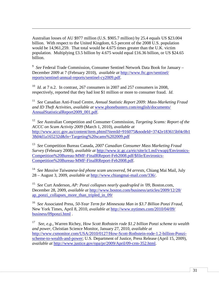Australian losses of AU \$977 million (U.S. \$905.7 million) by 25.4 equals US \$23.004 billion. With respect to the United Kingdom, 6.5 percent of the 2008 U.S. population would be 14,961,259. That total would be 4.675 times greater than the U.K. victim population. Multiplying £3.5 billion by 4.675 would equal £16.36 billion, or US \$24.65 billion.

 $\overline{a}$ 

<span id="page-32-0"></span>9 *See* Federal Trade Commission, Consumer Sentinel Network Data Book for January – December 2009 at 7 (February 2010), *available at* [http://www.ftc.gov/sentinel/](http://www.ftc.gov/sentinel/%20reports/sentinel-annual-reports/sentinel-cy2009.pdf)  [reports/sentinel-annual-reports/sentinel-cy2009.pdf.](http://www.ftc.gov/sentinel/%20reports/sentinel-annual-reports/sentinel-cy2009.pdf)

<span id="page-32-1"></span><sup>10</sup> *Id.* at 7 n.2. In contrast, 267 consumers in 2007 and 257 consumers in 2008, respectively, reported that they had lost \$1 million or more to consumer fraud. *Id*.

<span id="page-32-2"></span><sup>11</sup> *See* Canadian Anti-Fraud Centre, *Annual Statistic Report 2009: Mass-Marketing Fraud and ID Theft Activities*, *available at* [www.phonebusters.com/english/documents/](http://www.phonebusters.com/english/documents/%20AnnualStatisticalReport2009_001.pdf)  [AnnualStatisticalReport2009\\_001.pdf.](http://www.phonebusters.com/english/documents/%20AnnualStatisticalReport2009_001.pdf)

<span id="page-32-3"></span><sup>12</sup> *See* Australian Competition and Consumer Commission, *Targeting Scams: Report of the ACCC on Scam Activity 2009* (March 1, 2010), *available at* http://www.accc.gov.au/content/item.phtml?itemId=916075&nodeId=3742e183615bf4c0b1 38d4d1a165232d&fn=Targeting%20scams%202009.pdf

<span id="page-32-4"></span>13 *See* Competition Bureau Canada, *2007 Canadian Consumer Mass Marketing Fraud Surve*y (February 2008), *available at* [http://www.ic.gc.ca/eic/site/ic1.nsf/vwapj/Environics-](http://www.ic.gc.ca/eic/site/ic1.nsf/vwapj/Environics-Competition%20Bureau-MMF-FinalRReport-Feb2008.pdf/$file/Environics-Competition%20Bureau-MMF-FinalRReport-Feb2008.pdf)[Competition%20Bureau-MMF-FinalRReport-Feb2008.pdf/\\$file/Environics-](http://www.ic.gc.ca/eic/site/ic1.nsf/vwapj/Environics-Competition%20Bureau-MMF-FinalRReport-Feb2008.pdf/$file/Environics-Competition%20Bureau-MMF-FinalRReport-Feb2008.pdf)[Competition%20Bureau-MMF-FinalRReport-Feb2008.pdf.](http://www.ic.gc.ca/eic/site/ic1.nsf/vwapj/Environics-Competition%20Bureau-MMF-FinalRReport-Feb2008.pdf/$file/Environics-Competition%20Bureau-MMF-FinalRReport-Feb2008.pdf)

<span id="page-32-5"></span>14 *See Massive Taiwanese-led phone scam uncovered, 94 arrests*, Chiang Mai Mail, July 28 – August 3, 2009, *available at* [http://www.chiangmai-mail.com/336/.](http://www.chiangmai-mail.com/336/)

<span id="page-32-6"></span>15 *See* Curt Anderson, *AP: Ponzi collapses nearly quadrupled in '09*, Boston.com, December 28, 2009, *available at* [http://www.boston.com/business/articles/2009/12/28/](http://www.boston.com/business/articles/2009/12/28/%20ap_ponzi_collapses_more_than_tripled_in_09/)  [ap\\_ponzi\\_collapses\\_more\\_than\\_tripled\\_in\\_09/](http://www.boston.com/business/articles/2009/12/28/%20ap_ponzi_collapses_more_than_tripled_in_09/)

<span id="page-32-7"></span>16 *See* Associated Press, *50-Year Term for Minnesota Man in \$3.7 Billion Ponzi Fraud*, New York Times, April 8, 2010, *available at* [http://www.nytimes.com/2010/04/09/](http://www.nytimes.com/2010/04/09/%20business/09ponzi.html)  [business/09ponzi.html](http://www.nytimes.com/2010/04/09/%20business/09ponzi.html) .

<span id="page-32-8"></span>17 *See, e.g.,* Warren Richey, *How Scott Rothstein rode \$1.2 billion Ponzi scheme to wealth and power*, Christian Science Monitor, January 27, 2010, *available at*  [http://www.csmonitor.com/USA/2010/0127/How-Scott-Rothstein-rode-1.2-billion-Ponzi](http://www.csmonitor.com/USA/2010/0127/How-Scott-Rothstein-rode-1.2-billion-Ponzi-scheme-to-wealth-and-power)[scheme-to-wealth-and-power;](http://www.csmonitor.com/USA/2010/0127/How-Scott-Rothstein-rode-1.2-billion-Ponzi-scheme-to-wealth-and-power) U.S. Department of Justice, Press Release (April 15, 2009), *available at* [http://www.justice.gov/opa/pr/2009/April/09-crm-352.html.](http://www.justice.gov/opa/pr/2009/April/09-crm-352.html)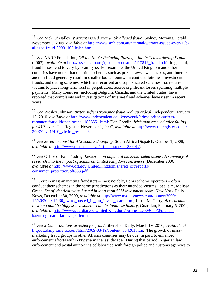<span id="page-33-0"></span>18 *See* Nick O'Malley, *Warrant issued over \$1.5b alleged fraud*, Sydney Morning Herald, November 5, 2009, *available at* [http://www.smh.com.au/national/warrant-issued-over-15b](http://www.smh.com.au/national/warrant-issued-over-15b-alleged-fraud-20091105-hybh.html)[alleged-fraud-20091105-hybh.html.](http://www.smh.com.au/national/warrant-issued-over-15b-alleged-fraud-20091105-hybh.html)

 $\overline{a}$ 

<span id="page-33-1"></span>19 *See* AARP Foundation, *Off the Hook: Reducing Participation in Telemarketing Fraud* (2003), *available at* [http://assets.aarp.org/rgcenter/consume/d17812\\_fraud.pdf.](http://assets.aarp.org/rgcenter/consume/d17812_fraud.pdf) In general, fraud losses tend to vary by scam type. For example, the United Kingdom and other countries have noted that one-time schemes such as prize draws, sweepstakes, and Internet auction fraud generally result in smaller loss amounts. In contrast, lotteries, investment frauds, and dating schemes, which are recurrent and sophisticated schemes that require victims to place long-term trust in perpetrators, accrue significant losses spanning multiple payments. Many countries, including Belgium, Canada, and the United States, have reported that complaints and investigations of Internet fraud schemes have risen in recent years.

<span id="page-33-2"></span>20 *See* Wesley Johnson, *Briton suffers 'romance fraud' kidnap ordeal*, Independent, January 12, 2010, *available at* [http://www.independent.co.uk/news/uk/crime/briton-suffers](http://www.independent.co.uk/news/uk/crime/briton-suffers-romance-fraud-kidnap-ordeal-1865551.html)[romance-fraud-kidnap-ordeal-1865551.html;](http://www.independent.co.uk/news/uk/crime/briton-suffers-romance-fraud-kidnap-ordeal-1865551.html) Dan Goodin, *Irish man rescued after falling for 419 scam*, The Register, November 1, 2007, *available at* [http://www.theregister.co.uk/](http://www.theregister.co.uk/%202007/11/01/419_victim_rescued/)  [2007/11/01/419\\_victim\\_rescued/.](http://www.theregister.co.uk/%202007/11/01/419_victim_rescued/)

<span id="page-33-3"></span>21 *See Seven in court for 419 scam kidnapping*, South Africa Dispatch, October 1, 2008, *available at* [http://www.dispatch.co.za/article.aspx?id=255017.](http://www.dispatch.co.za/article.aspx?id=255017)

<span id="page-33-4"></span><sup>22</sup> *See* Office of Fair Trading, *Research on impact of mass-marketed scams: A summary of research into the impact of scams on United Kingdom consumers* (December 2006), *available at* [http://www.oft.gov.UnitedKingdom/shared\\_oft/reports/](http://www.oft.gov.unitedkingdom/shared_oft/reports/) consumer\_protection/oft883.pdf.

<span id="page-33-5"></span><sup>23</sup> Certain mass-marketing fraudsters – most notably, Ponzi scheme operators – often conduct their schemes in the same jurisdictions as their intended victims, *See, e.g.,* Melissa Grace, *Set of identical twins busted in long-term \$2M investment scam*, New York Daily News, December 30, 2009, *available at* [http://www.nydailynews.com/money/2009/](http://www.nydailynews.com/money/2009/%2012/30/2009-12-30_twins_busted_in_2m_invest_scam.html)  [12/30/2009-12-30\\_twins\\_busted\\_in\\_2m\\_invest\\_scam.html;](http://www.nydailynews.com/money/2009/%2012/30/2009-12-30_twins_busted_in_2m_invest_scam.html) Justin McCurry, *Arrests made in what could be biggest investment scam in Japanese history*, Guardian, February 5, 2009, *available at* [http://www.guardian.co.United Kingdom/business/2009/feb/05/japan](http://www.guardian.co.uk/business/2009/feb/05/japan-kazutsugi-nami-ladies-gentlemen)[kazutsugi-nami-ladies-gentlemen.](http://www.guardian.co.uk/business/2009/feb/05/japan-kazutsugi-nami-ladies-gentlemen)

<span id="page-33-6"></span>24 *See 9 Cameroonians arrested for fraud*, Shenzhen Daily, March 19, 2010, *available at* [http://szdaily.sznews.com/html/2009-03/19/content\\_554261.htm.](http://szdaily.sznews.com/html/2009-03/19/content_554261.htm) The growth of massmarketing fraud groups in other African countries may be due, in part, to enhanced enforcement efforts within Nigeria in the last decade. During that period, Nigerian law enforcement and postal authorities collaborated with foreign police and customs agencies to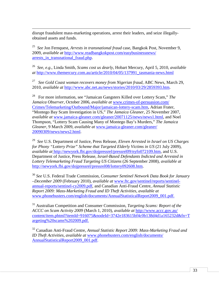$\overline{a}$ disrupt fraudulent mass-marketing operations, arrest their leaders, and seize illegallyobtained assets and funds.

<span id="page-34-0"></span>25 *See* Jon Fernquest, *Arrests in transnational fraud* case, Bangkok Post, November 9, 2009, *available at* [http://www.readbangkokpost.com/easybusinessnews/](http://www.readbangkokpost.com/easybusinessnews/%20arrests_in_transnational_fraud.php)  arrests in transnational fraud.php.

<span id="page-34-1"></span>26 *See, e.g*., Linda Smith, *Scams cost us dearly*, Hobart Mercury, April 5, 2010, *available at* [http://www.themercury.com.au/article/2010/04/05/137991\\_tasmania-news.html](http://www.themercury.com.au/article/2010/04/05/137991_tasmania-news.html)

<span id="page-34-2"></span>27 *See Gold Coast woman recovers money from Nigerian fraud*, ABC News, March 29, 2010, *available at* [http://www.abc.net.au/news/stories/2010/03/29/2859393.htm.](http://www.abc.net.au/news/stories/2010/03/29/2859393.htm)

<span id="page-34-3"></span>28 For more information, see "Jamaican Gangsters Killed over Lottery Scam," *The Jamaica Observer*, October 2006, *available at* [www.crimes-of-persuasion.com/](http://www.crimes-of-persuasion.com/) Crimes/Telemarketing/Outbound/Major/jamaican-lottery-scam.htm, Adrian Frater, "Montego Bay Scam Investigation in US," *The Jamaica Gleaner*, 25 November 2007, *available at* www.jamaica-gleaner.com/gleaner/20071125/news/news1.html, and Noel Thompson, "Lottery Scam Causing Many of Montego Bay's Murders," *The Jamaica Gleaner*, 9 March 2009, *available at* [www.jamaica-gleaner.com/gleaner/](http://www.jamaica-gleaner.com/gleaner/) 20090309/news/news2.html.

<span id="page-34-4"></span>29 *See* U.S. Department of Justice, Press Release, *Eleven Arrested in Israel on US Charges for Phony "Lottery Prize" Scheme that Targeted Elderly Victims in US* (21 July 2009), *available at* [http://newyork.fbi.gov/dojpressrel/p](http://newyork.fbi.gov/dojpressrel/)ressrel09/nyfo072109.htm, and U.S. Department of Justice, Press Release, *Israel-Based Defendants Indicted and Arrested in Lottery Telemarketing Fraud Targeting US Citizens* (26 September 2008), *available at* [http://newyork.fbi.gov/dojpressrel/pressrel08/lottery092608.htm.](http://newyork.fbi.gov/dojpressrel/pressrel08/lottery092608.htm)

<span id="page-34-5"></span><sup>30</sup> *See* U.S. Federal Trade Commission, *Consumer Sentinel Network Data Book for January –December 2009* (February 2010), *available at* www.ftc.gov/sentinel/reports/sentinelannual-reports/sentinel-cy2009.pdf, and Canadian Anti-Fraud Centre, *Annual Statistic Report 2009: Mass-Marketing Fraud and ID Theft Activities*, *available at* www.phonebusters.com/english/documents/AnnualStatisticalReport2009\_001.pdf.

<span id="page-34-6"></span><sup>31</sup> Australian Competition and Consumer Commission, *Targeting Scams: Report of the ACCC on Scam Activity 2009* (March 1, 2010), *available at* <http://www.accc.gov.au/> content/item.phtml?itemId=916075&nodeId=3742e183615bf4c0b138d4d1a165232d&fn=T argeting%20scams%202009.pdf.

<span id="page-34-7"></span><sup>32</sup> Canadian Anti-Fraud Centre, *Annual Statistic Report 2009: Mass-Marketing Fraud and ID Theft Activities*, *available at* [www.phonebusters.com/english/documents/](http://www.phonebusters.com/english/documents/) AnnualStatisticalReport2009\_001.pdf.